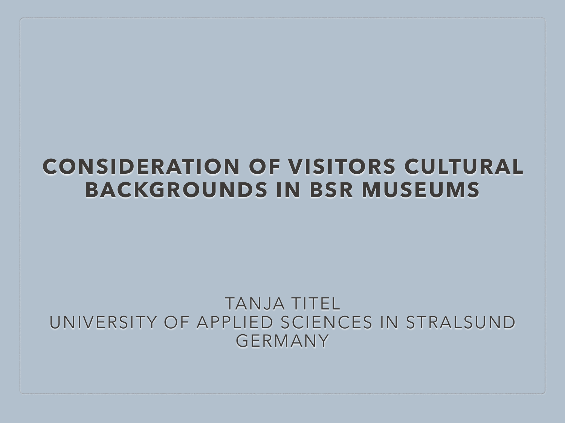#### **CONSIDERATION OF VISITORS CULTURAL BACKGROUNDS IN BSR MUSEUMS**

#### TANJA TITEL UNIVERSITY OF APPLIED SCIENCES IN STRALSUND GERMANY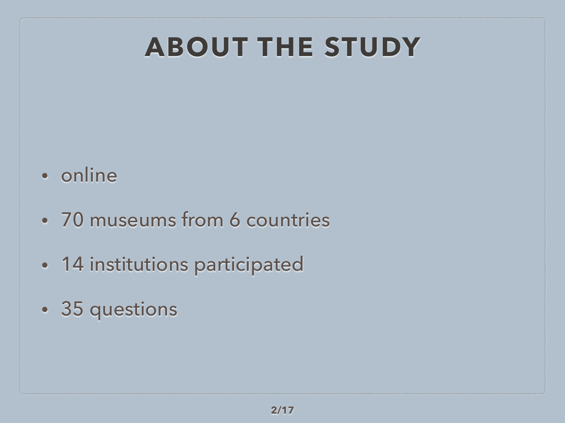# **ABOUT THE STUDY**

- online
- 70 museums from 6 countries
- 14 institutions participated
- 35 questions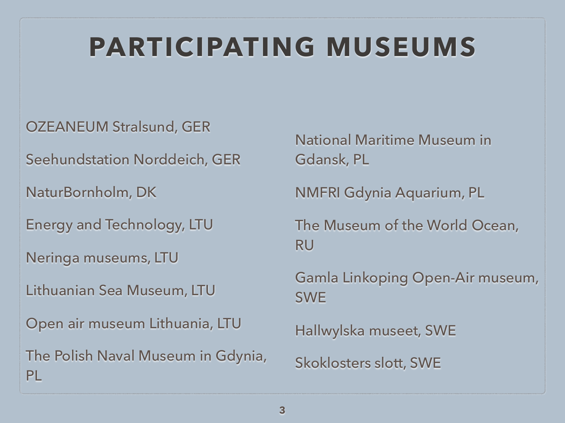# **PARTICIPATING MUSEUMS**

#### OZEANEUM Stralsund, GER

Seehundstation Norddeich, GER

NaturBornholm, DK

Energy and Technology, LTU

Neringa museums, LTU

Lithuanian Sea Museum, LTU

Open air museum Lithuania, LTU

The Polish Naval Museum in Gdynia, PL

National Maritime Museum in Gdansk, PL

NMFRI Gdynia Aquarium, PL

The Museum of the World Ocean, RU

Gamla Linkoping Open-Air museum, SWE

Hallwylska museet, SWE

Skoklosters slott, SWE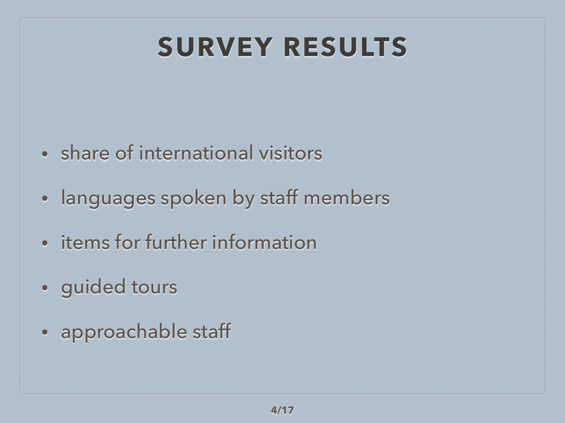# **SURVEY RESULTS**

- share of international visitors
- languages spoken by staff members
- items for further information
- guided tours
- approachable staff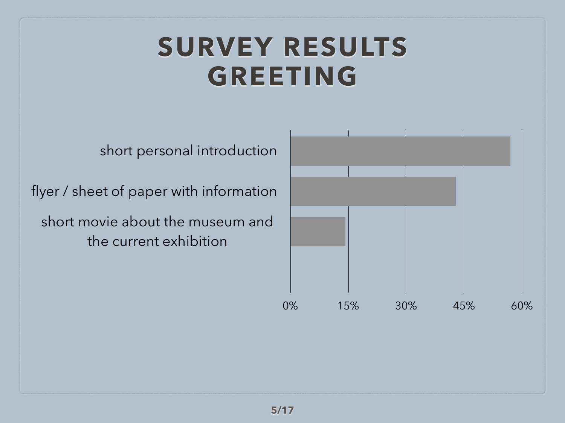# **SURVEY RESULTS GREETING**

short personal introduction

flyer / sheet of paper with information

short movie about the museum and the current exhibition

| 0% | 15% | 30% | 45% | 60% |
|----|-----|-----|-----|-----|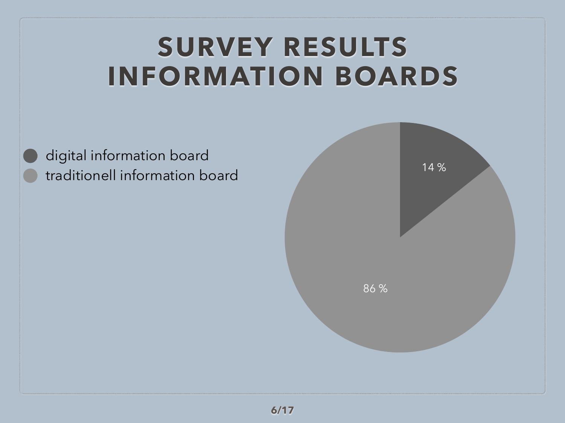# **SURVEY RESULTS INFORMATION BOARDS**

digital information board traditionell information board

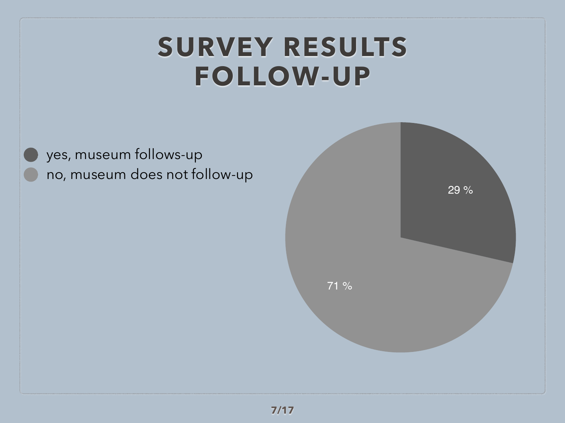# **SURVEY RESULTS FOLLOW-UP**

yes, museum follows-up no, museum does not follow-up

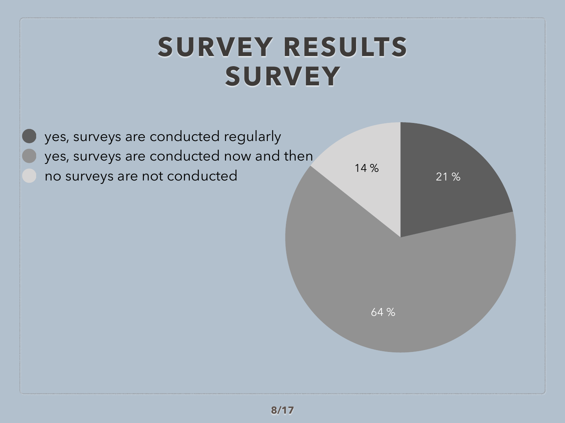## **SURVEY RESULTS SURVEY**

yes, surveys are conducted regularly yes, surveys are conducted now and then no surveys are not conducted

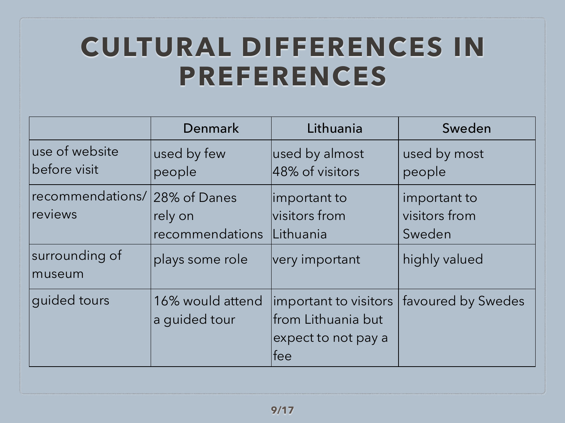# **CULTURAL DIFFERENCES IN PREFERENCES**

|                                                                      | Denmark                                       | Lithuania                                                                  | Sweden                                                   |
|----------------------------------------------------------------------|-----------------------------------------------|----------------------------------------------------------------------------|----------------------------------------------------------|
| use of website<br>before visit                                       | used by few<br>people                         | used by almost<br>48% of visitors                                          | used by most<br>people                                   |
| recommendations/ 28% of Danes<br>reviews<br>surrounding of<br>museum | rely on<br>recommendations<br>plays some role | important to<br>visitors from<br>Lithuania<br>very important               | important to<br>visitors from<br>Sweden<br>highly valued |
| guided tours                                                         | 16% would attend<br>a guided tour             | important to visitors<br>from Lithuania but<br>expect to not pay a<br>lfee | favoured by Swedes                                       |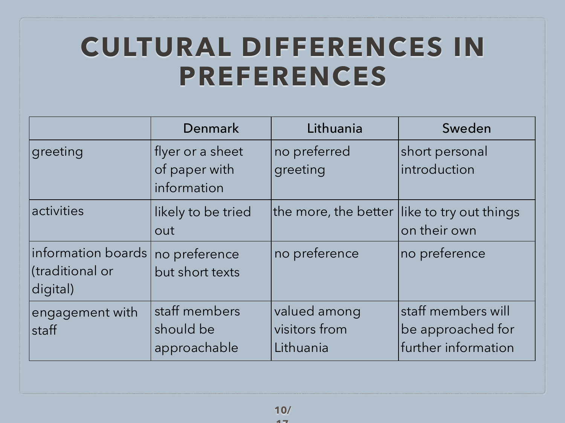# **CULTURAL DIFFERENCES IN PREFERENCES**

|                                                   | Denmark                                          | Lithuania                                  | Sweden                                                         |
|---------------------------------------------------|--------------------------------------------------|--------------------------------------------|----------------------------------------------------------------|
| greeting                                          | flyer or a sheet<br>of paper with<br>information | no preferred<br>greeting                   | short personal<br>introduction                                 |
| activities                                        | likely to be tried<br>out                        | the more, the better $\,$                  | like to try out things<br>on their own                         |
| information boards<br>(traditional or<br>digital) | no preference<br>but short texts                 | no preference                              | no preference                                                  |
| engagement with<br>staff                          | staff members<br>should be<br>approachable       | valued among<br>visitors from<br>Lithuania | staff members will<br>be approached for<br>further information |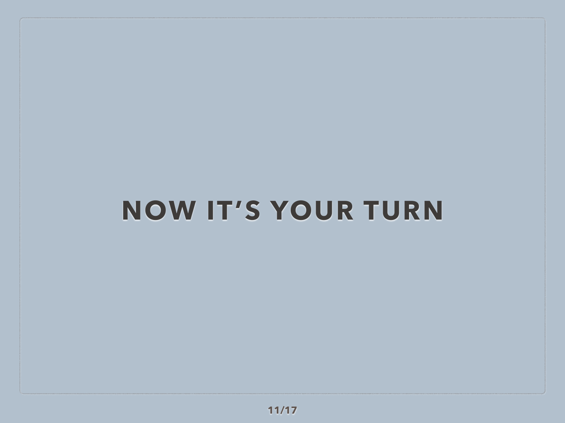# **NOW IT'S YOUR TURN**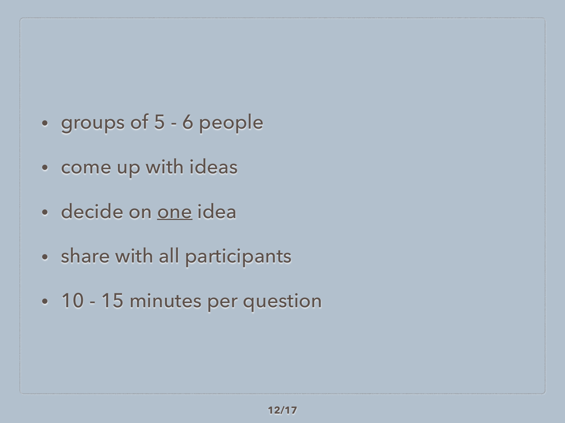- groups of 5 6 people
- come up with ideas
- decide on one idea
- share with all participants
- 10 15 minutes per question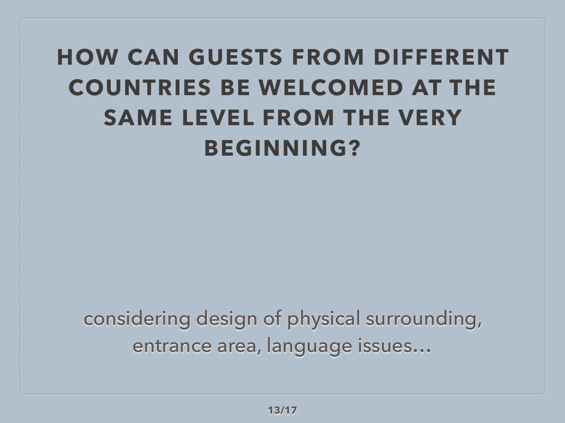### **HOW CAN GUESTS FROM DIFFERENT COUNTRIES BE WELCOMED AT THE SAME LEVEL FROM THE VERY BEGINNING?**

considering design of physical surrounding, entrance area, language issues…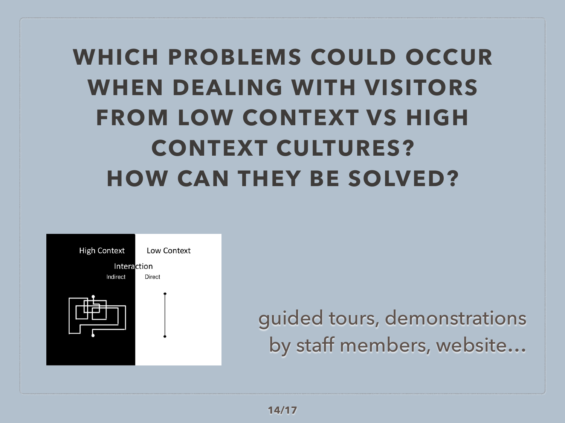# **WHICH PROBLEMS COULD OCCUR WHEN DEALING WITH VISITORS FROM LOW CONTEXT VS HIGH CONTEXT CULTURES? HOW CAN THEY BE SOLVED?**



guided tours, demonstrations by staff members, website…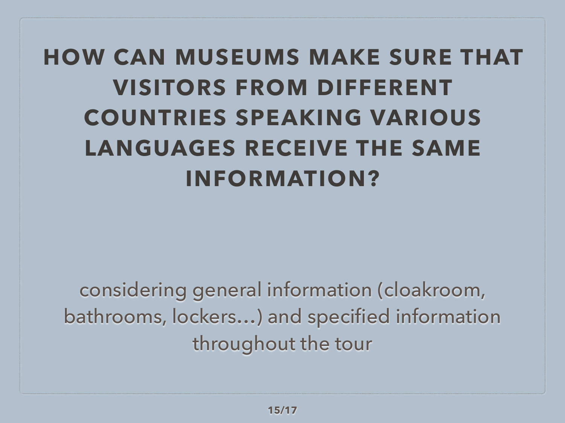# **HOW CAN MUSEUMS MAKE SURE THAT VISITORS FROM DIFFERENT COUNTRIES SPEAKING VARIOUS LANGUAGES RECEIVE THE SAME INFORMATION?**

considering general information (cloakroom, bathrooms, lockers…) and specified information throughout the tour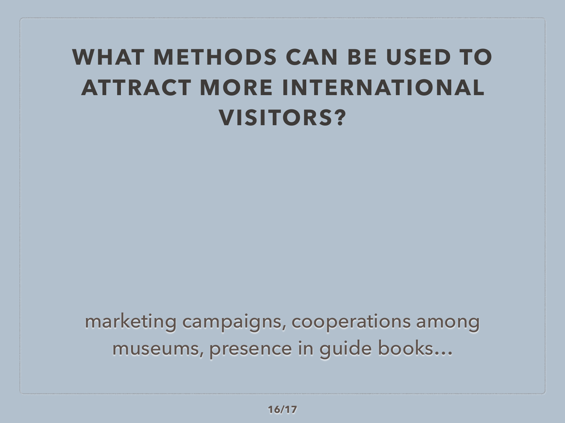#### **WHAT METHODS CAN BE USED TO ATTRACT MORE INTERNATIONAL VISITORS?**

marketing campaigns, cooperations among museums, presence in guide books…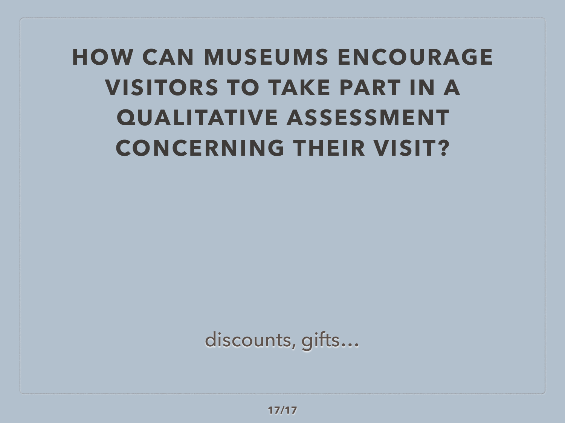# **HOW CAN MUSEUMS ENCOURAGE VISITORS TO TAKE PART IN A QUALITATIVE ASSESSMENT CONCERNING THEIR VISIT?**

discounts, gifts…

**17/17**